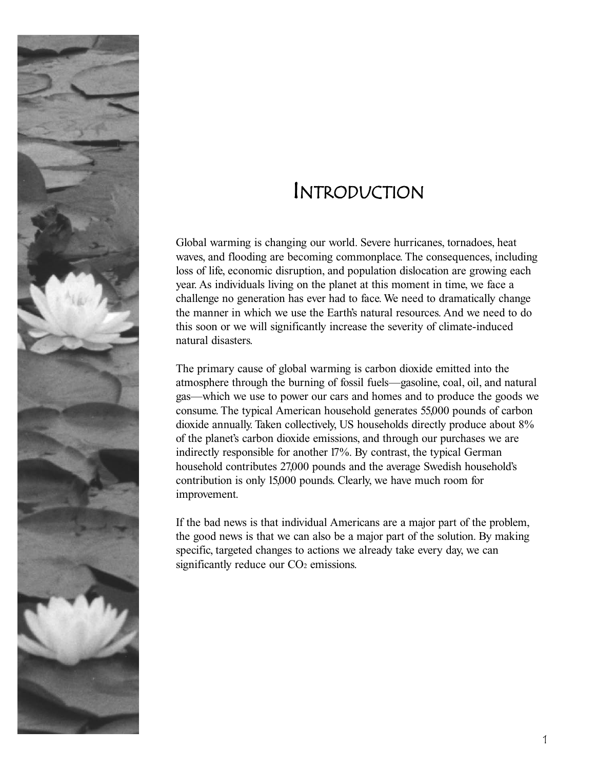

## INTRODUCTION

Global warming is changing our world. Severe hurricanes, tornadoes, heat waves, and flooding are becoming commonplace. The consequences, including loss of life, economic disruption, and population dislocation are growing each year. As individuals living on the planet at this moment in time, we face a challenge no generation has ever had to face. We need to dramatically change the manner in which we use the Earth's natural resources. And we need to do this soon or we will significantly increase the severity of climate-induced natural disasters.

The primary cause of global warming is carbon dioxide emitted into the atmosphere through the burning of fossil fuels—gasoline, coal, oil, and natural gas—which we use to power our cars and homes and to produce the goods we consume. The typical American household generates 55,000 pounds of carbon dioxide annually. Taken collectively, US households directly produce about 8% of the planet's carbon dioxide emissions, and through our purchases we are indirectly responsible for another 17%. By contrast, the typical German household contributes 27,000 pounds and the average Swedish household's contribution is only 15,000 pounds. Clearly, we have much room for improvement.

If the bad news is that individual Americans are a major part of the problem, the good news is that we can also be a major part of the solution. By making specific, targeted changes to actions we already take every day, we can significantly reduce our CO<sub>2</sub> emissions.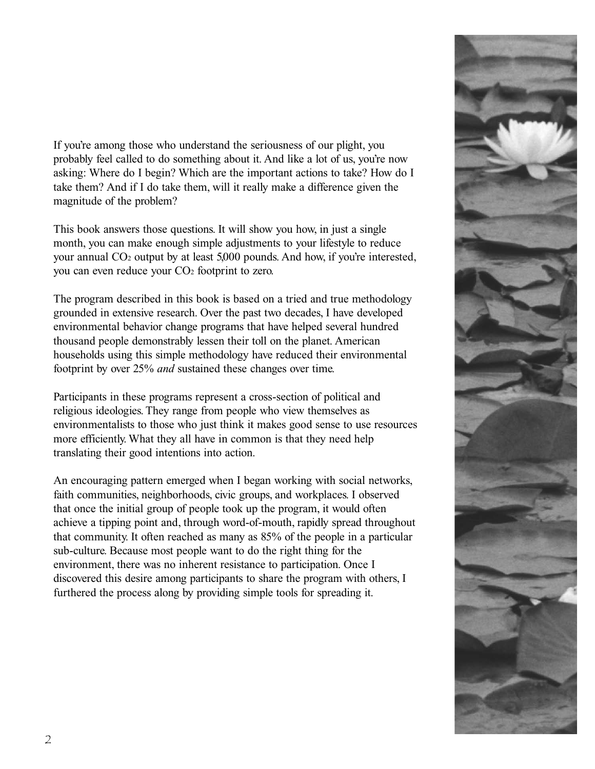If you're among those who understand the seriousness of our plight, you probably feel called to do something about it. And like a lot of us, you're now asking: Where do I begin? Which are the important actions to take? How do I take them? And if I do take them, will it really make a difference given the magnitude of the problem?

This book answers those questions. It will show you how, in just a single month, you can make enough simple adjustments to your lifestyle to reduce your annual CO2 output by at least 5,000 pounds. And how, if you're interested, you can even reduce your CO2 footprint to zero.

The program described in this book is based on a tried and true methodology grounded in extensive research. Over the past two decades, I have developed environmental behavior change programs that have helped several hundred thousand people demonstrably lessen their toll on the planet. American households using this simple methodology have reduced their environmental footprint by over 25% *and* sustained these changes over time.

Participants in these programs represent a cross-section of political and religious ideologies. They range from people who view themselves as environmentalists to those who just think it makes good sense to use resources more efficiently. What they all have in common is that they need help translating their good intentions into action.

An encouraging pattern emerged when I began working with social networks, faith communities, neighborhoods, civic groups, and workplaces. I observed that once the initial group of people took up the program, it would often achieve a tipping point and, through word-of-mouth, rapidly spread throughout that community. It often reached as many as 85% of the people in a particular sub-culture. Because most people want to do the right thing for the environment, there was no inherent resistance to participation. Once I discovered this desire among participants to share the program with others, I furthered the process along by providing simple tools for spreading it.

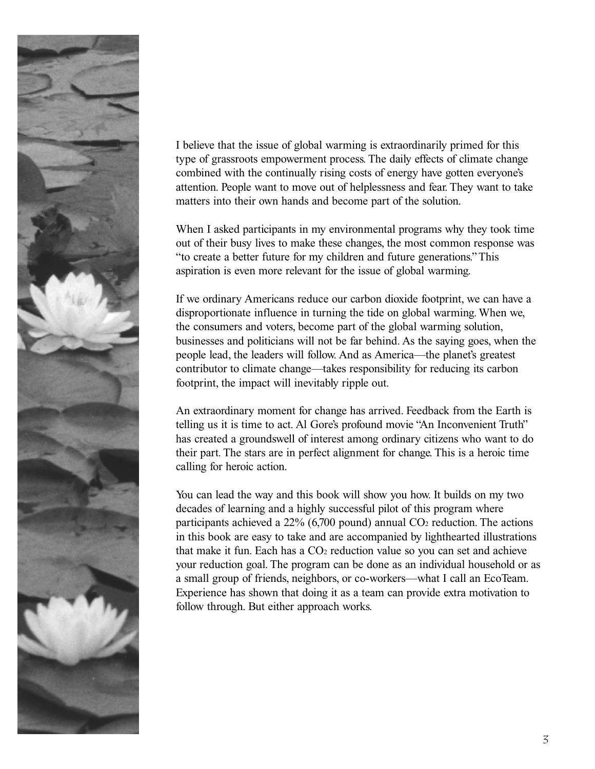

I believe that the issue of global warming is extraordinarily primed for this type of grassroots empowerment process. The daily effects of climate change combined with the continually rising costs of energy have gotten everyone's attention. People want to move out of helplessness and fear. They want to take matters into their own hands and become part of the solution.

When I asked participants in my environmental programs why they took time out of their busy lives to make these changes, the most common response was "to create a better future for my children and future generations." This aspiration is even more relevant for the issue of global warming.

If we ordinary Americans reduce our carbon dioxide footprint, we can have a disproportionate influence in turning the tide on global warming. When we, the consumers and voters, become part of the global warming solution, businesses and politicians will not be far behind. As the saying goes, when the people lead, the leaders will follow. And as America—the planet's greatest contributor to climate change—takes responsibility for reducing its carbon footprint, the impact will inevitably ripple out.

An extraordinary moment for change has arrived. Feedback from the Earth is telling us it is time to act. Al Gore's profound movie "An Inconvenient Truth" has created a groundswell of interest among ordinary citizens who want to do their part. The stars are in perfect alignment for change. This is a heroic time calling for heroic action.

You can lead the way and this book will show you how. It builds on my two decades of learning and a highly successful pilot of this program where participants achieved a  $22\%$  (6,700 pound) annual  $CO<sub>2</sub>$  reduction. The actions in this book are easy to take and are accompanied by lighthearted illustrations that make it fun. Each has a  $CO<sub>2</sub>$  reduction value so you can set and achieve your reduction goal. The program can be done as an individual household or as a small group of friends, neighbors, or co-workers—what I call an EcoTeam. Experience has shown that doing it as a team can provide extra motivation to follow through. But either approach works.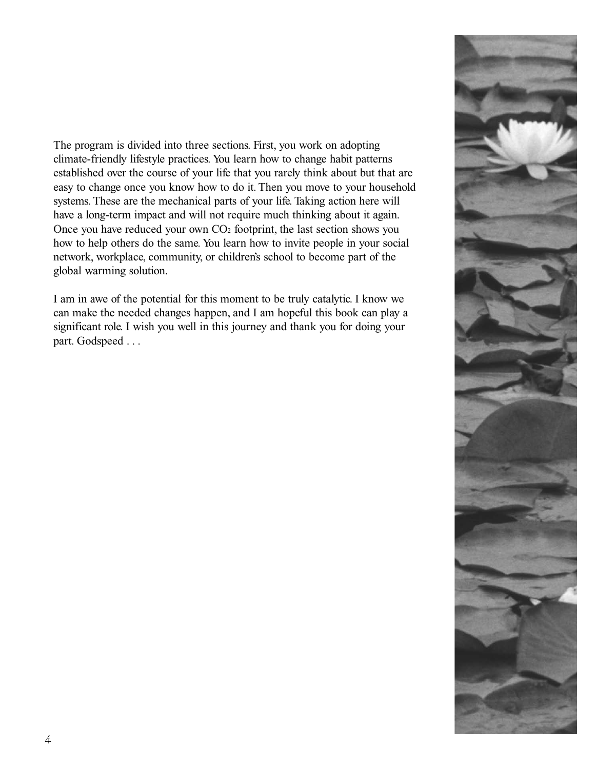The program is divided into three sections. First, you work on adopting climate-friendly lifestyle practices. You learn how to change habit patterns established over the course of your life that you rarely think about but that are easy to change once you know how to do it. Then you move to your household systems. These are the mechanical parts of your life. Taking action here will have a long-term impact and will not require much thinking about it again. Once you have reduced your own CO2 footprint, the last section shows you how to help others do the same. You learn how to invite people in your social network, workplace, community, or children's school to become part of the global warming solution.

I am in awe of the potential for this moment to be truly catalytic. I know we can make the needed changes happen, and I am hopeful this book can play a significant role. I wish you well in this journey and thank you for doing your part. Godspeed . . .